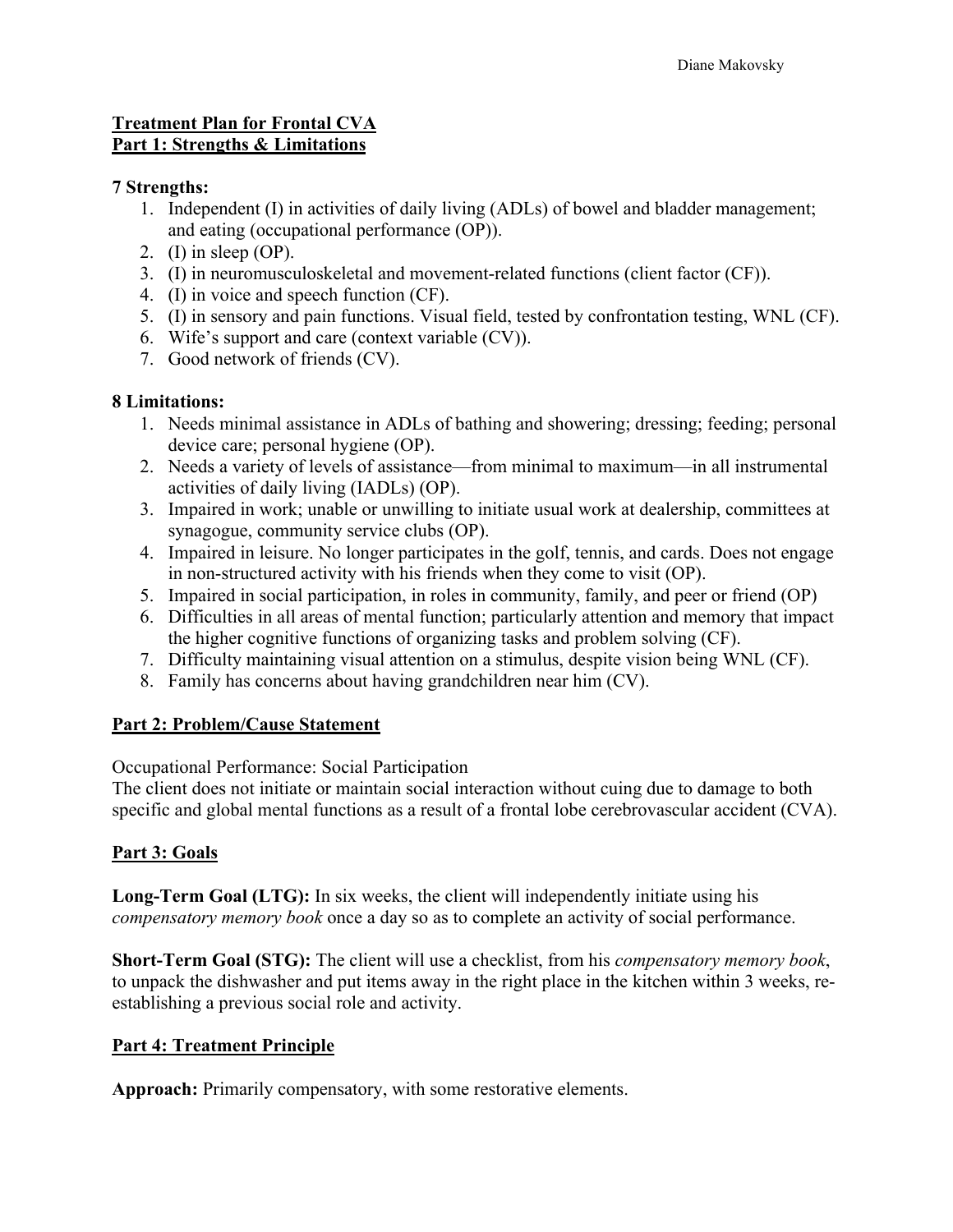## **Treatment Plan for Frontal CVA Part 1: Strengths & Limitations**

### **7 Strengths:**

- 1. Independent (I) in activities of daily living (ADLs) of bowel and bladder management; and eating (occupational performance (OP)).
- 2. (I) in sleep (OP).
- 3. (I) in neuromusculoskeletal and movement-related functions (client factor (CF)).
- 4. (I) in voice and speech function (CF).
- 5. (I) in sensory and pain functions. Visual field, tested by confrontation testing, WNL (CF).
- 6. Wife's support and care (context variable (CV)).
- 7. Good network of friends (CV).

## **8 Limitations:**

- 1. Needs minimal assistance in ADLs of bathing and showering; dressing; feeding; personal device care; personal hygiene (OP).
- 2. Needs a variety of levels of assistance—from minimal to maximum—in all instrumental activities of daily living (IADLs) (OP).
- 3. Impaired in work; unable or unwilling to initiate usual work at dealership, committees at synagogue, community service clubs (OP).
- 4. Impaired in leisure. No longer participates in the golf, tennis, and cards. Does not engage in non-structured activity with his friends when they come to visit (OP).
- 5. Impaired in social participation, in roles in community, family, and peer or friend (OP)
- 6. Difficulties in all areas of mental function; particularly attention and memory that impact the higher cognitive functions of organizing tasks and problem solving (CF).
- 7. Difficulty maintaining visual attention on a stimulus, despite vision being WNL (CF).
- 8. Family has concerns about having grandchildren near him (CV).

## **Part 2: Problem/Cause Statement**

Occupational Performance: Social Participation

The client does not initiate or maintain social interaction without cuing due to damage to both specific and global mental functions as a result of a frontal lobe cerebrovascular accident (CVA).

# **Part 3: Goals**

**Long-Term Goal (LTG):** In six weeks, the client will independently initiate using his *compensatory memory book* once a day so as to complete an activity of social performance.

**Short-Term Goal (STG):** The client will use a checklist, from his *compensatory memory book*, to unpack the dishwasher and put items away in the right place in the kitchen within 3 weeks, reestablishing a previous social role and activity.

## **Part 4: Treatment Principle**

**Approach:** Primarily compensatory, with some restorative elements.